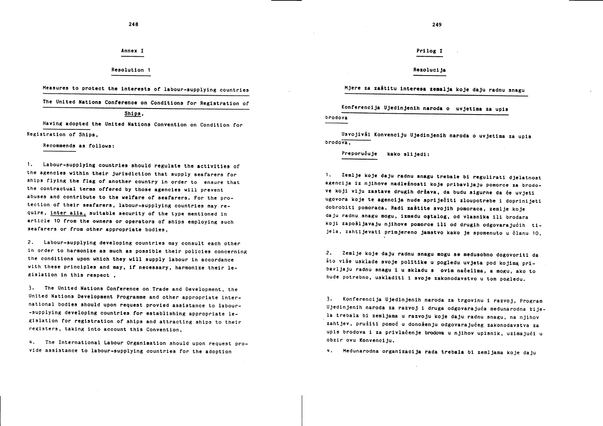# Annex I

## Resolution 1

Measures to protect the interests of labour-supplying countries

# The United Nations Conference on Conditions for Registration of

### Ships,

Having adopted the United Nations Convention on Condition for Registration of Ships.

Recommends as follows:

1. Labour-supplying countries should regulate the activities of the agencies within their jurisdiction that supply seafarers for ships flying the flag of another country in order to ensure that the contractual terms offered by those agencies will prevent abuses and contribute to the welfare of seafarers. For the protection of their seafarers, labour-supplying countries may require, inter alia, suitable security of the type mentioned in article 10 from the owners or operators of ships employing such seafarers or from other appropriate bodies,

2. Labour-supplying developing countries may consult each other in order to harmonize as much as possible their policies concerning the conditions upon which they will supply labour in accordance with these principles and may, if necessary, harmonize their legislation in this respect,

3. The United Nations Conference on Trade and Development, the United Nations Development Programme and other appropriate international bodies should upon request provied assistance to labour--supplying developing countries for establishing appropriate legislation for registration of ships and attracting ships to their registers, taking into account this Convention,

4. The International Labour Organisation should upon request provide assistance to labour-supplying countries for the adoption

#### 249

Prilog I

Rezoluci ja

Mjere za zaštitu interesa zemalja koje daju radnu snagu

Konferencija Ujedinjenih naroda o uvjetima za upis

brodova

Usvojivši Konvenciju Ujedinjenih naroda o uvjetima za upis  $b$ rodova.

Preporučuje kako slijedi:

1. Zemlje koje daju radnu snagu trebale bi regulirati djelatnost agencija iz njihove nadležnosti koje pribavljaju pomorce za brodove koji viju zastave drugih država, da budu sigurne da će uvjeti ugovora koje te agencija nude spriječiti zloupotrebe i doprinijeti dobrobiti pomoraca. Radi zaštite svojih pomoraca, zemlje koje daju radnu snagu mogu, između ostalog, od vlasnika ili brodara koji zapošljavaju njihove pomorce ili od drugih odgovarajućih tijela, zahtijevati primjereno jamstvo kako je spomenuto u članu 10,

2. Zemlje koje daju radnu snagu mogu se međusobno dogovoriti da što više usklade svoje politike u pogledu uvjeta pod kojima pribavljaju radnu snagu i u skladu s ovim načelima, a mogu, ako to bude potrebno, uskladiti i svoje zakonodavstvo u tom pogledu.

3. Konferencija Ujedinjenih naroda za trgovinu i razvoj, Program Ujedinjenih naroda za razvoj i druga odgovarajuća međunarodna tijela trebala bi zemljama u razvoju koje daju radnu snagu, na njihov zahtjev, pružiti pomoć u donošenju odgovarajućeg zakonodavstva za upis brodova i za privlačenje brodova u njihov upisnik, uzimajući u obzir ovu Konvenciju.

Medunarodna organizacija rada trebala bi zemljama koje daju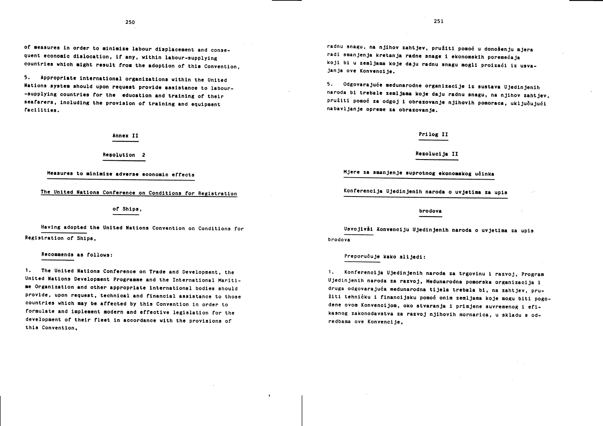of measures in order to minimize labour displacement and consequent economic dislocation. if any, within labour-supplying countries which might result from the adoption of this Convention,

5. Appropriate international organizations within the United Nations system should upon request provide assistance to labour--supplying countries for the education and training of their seafarers, including the provision of training and equipment facilities.

Annex II

Resolution 2

Measures to minimize adverse economic effects

The United Nations Conference on Conditions for Registration

of Ships.

Having adopted the United Nations Convention on Conditions for Registration of Ships,

Recommends as follows:

1. The United Nations Conference on Trade and Development, the United Nations Development Programme and the International Maritime Organization and other appropriate international bodies should provide, upon request, technical and financial assistance to those countries which may be affected by this Convention in order to formulate and implement modern and effective legislation for the development of their fleet in accordance with the provisions of this Convention.

radnu snagu, na njihov zahtjev, pružiti pomoć u donošenju mjera radi smanjenja kretanja radne snage i ekonomskih poremećaja koji bi u zemljama koje daju radnu snagu mogli proizaći iz usvajanja ove Konvencije.

Odgovarajuće medunarodne organizacije iz sustava Ujedinjenih  $5.$ naroda bi trebale zemljama koje daju radnu snagu, na njihov zahtjev, pružiti pomoć za odgoj i obrazovanje njihovih pomoraca, uključujući nabavljanje opreme za obrazovanje.

### Prilog II

Rezolucija II

Mjere za smanjenje suprotnog ekonomskog učinka

Konferencija Ujedinjenih naroda o uvjetima za upis

brodova

Usvojivši Konvenciju Ujedinjenih naroda o uvjetima za upis brodova

Preporučuje kako slijedi:

1. Konferencija Ujedinjenih naroda za trgovinu i razvoj, Program Ujedinjenih naroda za razvoj, Međunarodna pomorska organizacija i druga odgovarajuća međunarodna tijela trebala bi, na zahtjev, pružiti tehničku i financijsku pomoć onim zemljama koje mogu biti pogodene ovom Konvencijom, oko stvaranja i primjene suvremenog i efikasnog zakonodavstva za razvoj njihovih mornarica, u skladu s odredbama ove Konvencije.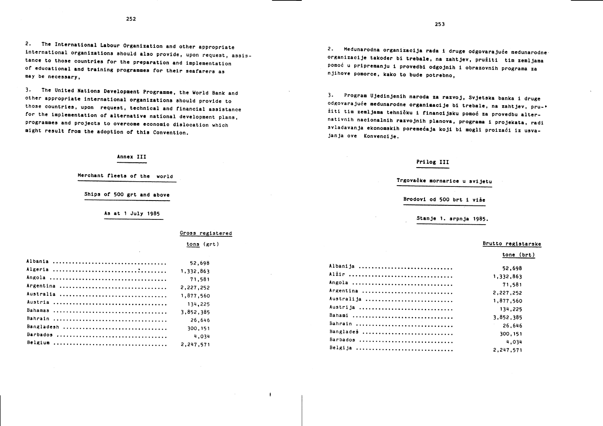2. The International Labour Organization and other appropriate international organizations should also provide, upon request, assistance to those countries for the preparation and implementation of educational and training programmes for their seafarers as may be necessary.

The United Nations Development Programme, the World Bank and  $\overline{3}$ other appropriate international organizations should provide to those countries, upon request, technical and financial assistance for the implementation of alternative national development plans, programmes and projects to overcome economic dislocation which might result from the adoption of this Convention.

# Annex III

Merchant fleets of the world

Ships of 500 grt and above

As at 1 July 1985

Gross registered

 $\ddot{\phantom{1}}$ 

|            | tons (grt) |
|------------|------------|
|            | 52,698     |
|            | 1,332,863  |
|            | 71,581     |
| Argentina  | 2,227,252  |
|            | 1,877,560  |
|            | 134,225    |
|            | 3,852,385  |
|            | 26.646     |
| Bangladesh | 300, 151   |
| Barbados   | 4.034      |
|            | 2,247,571  |

2. Medunarodna organizacija rada i druge odgovarajuće medunarodne organizacije također bi trebale, na zahtjev, pružiti tim zemljama pomoć u pripremanju i provedbi odgojnih i obrazovnih programa za njihove pomorce, kako to bude potrebno,

3. Program Ujedinjenih naroda za razvoj, Svjetska banka i druge odgovarajuće međunarodne organizacije bi trebale, na zahtjev, pružiti tim zemljama tehničku i financijsku pomoć za provedbu alternativnih nacionalnih razvojnih planova, programa i projekata, radi svladavanja ekonomskih poremećaja koji bi mogli proizaći iz usvajanja ove Konvencije.

# Prilog III

Trgovačke mornarice u svijetu Brodovi od 500 brt i više Stanje 1. srpnja 1985.

### Brutto registarske

tone (brt)

| Albanija   | 52.698    |
|------------|-----------|
| Alžir      | 1,332,863 |
| Angola     | 71.581    |
| Argentina  | 2,227,252 |
| Australija | 1,877,560 |
| Austrija   | 134,225   |
| Bahami     | 3.852.385 |
| Bahrain    | 26.646    |
| Banglades  | 300, 151  |
| Barbados   | 4.034     |
| Belgija    | 2,247,571 |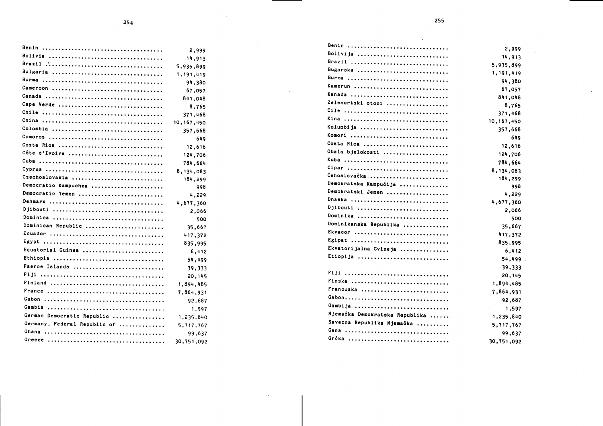|                              | 2,999        |
|------------------------------|--------------|
|                              | 14,913       |
|                              | 5,935,899    |
| Bulgaria                     | 1, 191, 419  |
| Burma                        | 94,380       |
| Cameroon                     | 67,057       |
|                              | 841,048      |
| Cape Verde                   | 8,765        |
|                              | 371,468      |
|                              | 10, 167, 450 |
| Colombia                     | 357,668      |
|                              | 649          |
| Costa Rica                   | 12,616       |
| Côte d'Ivoire                | 124,706      |
|                              | 784,664      |
|                              | 8,134,083    |
| Czechoslovakia               | 184,299      |
| Democratic Kampuchea         | 998          |
| Democratic Yemen             | 4,229        |
|                              | 4,677,360    |
| Djibouti                     | 2,066        |
| Dominica                     | 500          |
| Dominican Republic           | 35,667       |
| Ecuador                      | 417,372      |
| Egypt                        | 835,995      |
| Equatorial Guinea            | 6,412        |
| Ethiopia                     | 54,499       |
| Faeroe Islands               | 39,333       |
|                              | 20,145       |
|                              | 1,894,485    |
|                              | 7,864,931    |
|                              | 92,687       |
| Cambia                       | 1,597        |
| German Democratic Republic   | 1,235,840    |
| Germany, Federal Republic of | 5,717,767    |
| Ghana                        | 99,637       |
|                              | 30,751,092   |
|                              |              |

| Benin                          | 2,999        |
|--------------------------------|--------------|
| Bolivija                       | 14,913       |
| Brazil                         | 5,935,899    |
| Bugarska                       | 1,191,419    |
| Burma                          | 94,380       |
| Kamerun                        | 67,057       |
| Kanada                         | 841,048      |
| Zelenortski otoci              | 8,765        |
| Cile                           | 371,468      |
| Kina                           | 10, 167, 450 |
| Kolumbija                      | 357,668      |
| Komori                         | 649          |
| Costa Rica                     | 12,616       |
| Obala bjelokosti               | 124,706      |
| Kuba                           | 784,664      |
| Cipar                          | 8,134,083    |
| Čehoslovačka ,                 | 184,299      |
| Demokratska Kampućija          | 998          |
| Demokratski Jemen              | 4,229        |
| Dnaska                         | 4,677,360    |
| Djibouti                       | 2,066        |
| Dominika                       | 500          |
| Dominikanska Republika         | 35,667       |
| Ekvador                        | 417,372      |
| Egipat                         | 835,995      |
| Ekvatorijalna Gvineja          | 6,412        |
| Etiopija                       | 54,499       |
|                                | 39,333       |
| Fiji                           | 20,145       |
| Finska                         | 1,894,485    |
| Francuska                      | 7,864,931    |
| Gabon                          | 92,687       |
| Gambija                        | 1,597        |
| Njemačka Demokratska Republika | 1,235,840    |
| Savezna Republika Njemačka     | 5,717,767    |
| Gana                           | 99,637       |
| Grčka                          | 30,751,092   |
|                                |              |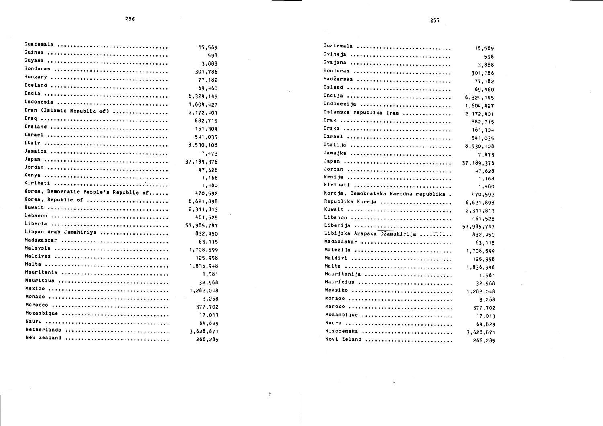| Guatemala                              | 15,569       |
|----------------------------------------|--------------|
|                                        | 598          |
|                                        | 3,888        |
| Honduras                               | 301,786      |
|                                        | 77,182       |
|                                        | 69,460       |
|                                        | 6,324,145    |
| Indonesia                              | 1,604,427    |
| Iran (Islamic Republic of)             | 2,172,401    |
|                                        | 882,715      |
|                                        | 161,304      |
|                                        | 541,035      |
|                                        | 8,530,108    |
|                                        | 7,473        |
|                                        | 37, 189, 376 |
|                                        | 47,628       |
|                                        | 1,168        |
|                                        | 1,480        |
| Korea, Democratic People's Republic of | 470,592      |
| Korea, Republic of                     | 6,621,898    |
|                                        | 2,311,813    |
|                                        | 461,525      |
|                                        | 57,985,747   |
| Libyan Arab Jamahiriya                 | 832,450      |
| Madagascar                             | 63,115       |
|                                        | 1,708,599    |
|                                        | 125,958      |
|                                        | 1,836,948    |
| Mauritania                             | 1,581        |
| Mauritius                              | 32.968       |
|                                        | 1,282,048    |
|                                        | 3,268        |
|                                        | 377,702      |
| Mozambique                             | 17,013       |
|                                        | 64,829       |
| Netherlands                            | 3,628,871    |
| New Zealand                            | 266,285      |
|                                        |              |

| Guatemala                              |              |
|----------------------------------------|--------------|
| Gvineja                                | 15,569       |
| Gvajana                                | 598          |
|                                        | 3,888        |
| Honduras                               | 301,786      |
| Madžarska                              | 77,182       |
| Island                                 | 69,460       |
| Indija                                 | 6,324,145    |
| Indonezija                             | 1,604,427    |
| Islamska republika Iran                | 2,172,401    |
|                                        | 882,715      |
| Irska                                  | 161,304      |
| Izrael                                 | 541,035      |
| Italija                                | 8,530,108    |
| Jamajka                                | 7,473        |
|                                        | 37, 189, 376 |
| Jordan                                 | 47,628       |
| Kenija                                 | 1,168        |
| Kiribati                               | 1,480        |
| Koreja, Demokratska Narodna republika. | 470,592      |
| Republika Koreja                       | 6,621,898    |
| Kuwait                                 | 2,311,813    |
| Libanon                                | 461,525      |
| Liberija                               | 57,985,747   |
| Libijska Arapska Džamahirija           | 832,450      |
| Madagaskar                             | 63, 115      |
| Malezija                               | 1,708,599    |
| Maldivi                                | 125,958      |
|                                        | 1,836,948    |
| Mauritanija                            | 1,581        |
| Maurícius                              | 32,968       |
| Meksiko                                | 1,282,048    |
| Monaco                                 | 3,268        |
| Maroko                                 | 377,702      |
| Mozambique                             | 17,013       |
| Nauru                                  | 64,829       |
| Nizozemska                             | 3,628,871    |
| Novi Zeland                            | 266,285      |
|                                        |              |

 $\triangleright$ 

 $\mathbf{t}$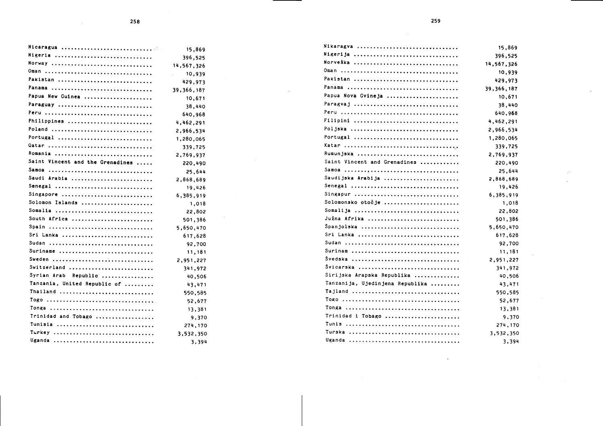$\mathcal{L}_{\mathrm{eff}}$ 

|                                  | 15,869                               |
|----------------------------------|--------------------------------------|
| Nigeria                          | 396,525                              |
| Norway                           | 14,567,326                           |
| Oman                             | 10,939<br>$\mathcal{L}^{\text{max}}$ |
| Pakistan                         | 429,973                              |
| Panama                           | 39,366,187                           |
| Papua New Guinea                 | 10,671                               |
| Paraguay                         | 38,440                               |
| Peru                             | 640,968                              |
| Philippines                      | 4,462,291                            |
| Poland                           | 2,966,534                            |
| Portugal                         | 1,280,065                            |
| Qatar                            | 339,725                              |
| Romania                          | 2,769,937                            |
| Saint Vincent and the Grenadines | 220,490                              |
| Samoa                            | 25,644                               |
| Saudi Arabia                     | 2,868,689                            |
| Senegal                          | 19,426                               |
| Singapore                        | 6,385,919                            |
| Solomon Islands                  | 1,018                                |
| Somalia                          | 22,802                               |
| South Africa                     | 501,386                              |
| Spain                            | 5,650,470                            |
| Sri Lanka                        | 617,628                              |
| Sudan                            | 92,700                               |
| Suriname                         | 11,181                               |
| Sweden                           | 2,951,227                            |
| Switzerland                      | 341,972                              |
| Syrian Arab Republic             | 40,506                               |
| Tanzania, United Republic of     | 43,471                               |
| Thailand                         | 550,585                              |
|                                  | 52,677                               |
| Tonga                            | 13,381                               |
| Trinidad and Tobago              | 9,370                                |
| Tunisia                          | 274,170                              |
| Turkey                           | 3,532,350                            |
| Uganda                           | 3,394                                |

| Nikaragva                       | 15,869     |
|---------------------------------|------------|
| Nigerija                        | 396,525    |
| Norveška                        | 14,567,326 |
| Oman                            | 10,939     |
| Pakistan                        | 429,973    |
|                                 | 39,366,187 |
| Papua Nova Gvineja              | 10,671     |
| Paragvaj                        | 38,440     |
|                                 | 640,968    |
| Filipini                        | 4,462,291  |
| Poljska                         | 2,966,534  |
| Portugal                        | 1,280,065  |
|                                 | 339,725    |
| Rumunjska                       | 2,769,937  |
| Saint Vincent and Grenadines    | 220,490    |
|                                 | 25,644     |
| Saudijska Arabija               | 2,868,689  |
| Senegal                         | 19,426     |
| Singapur                        | 6,385,919  |
| Solomonsko otočje               | 1,018      |
| Somalija                        | 22,802     |
| Južna Afrika                    | 501,386    |
| Španjolska                      | 5,650,470  |
| Sri Lanka                       | 617,628    |
|                                 | 92,700     |
| Surinam                         | 11,181     |
| Svedska                         | 2,951,227  |
| Śvicarska                       | 341,972    |
| Sirijska Arapska Republika      | 40,506     |
| Tanzanija, Ujedinjena Republika | 43,471     |
| Tajland                         | 550,585    |
|                                 | 52,677     |
|                                 | 13,381     |
| Trinidad i Tobago               | 9,370      |
|                                 | 274,170    |
| Turska                          | 3,532,350  |
|                                 | 3,394      |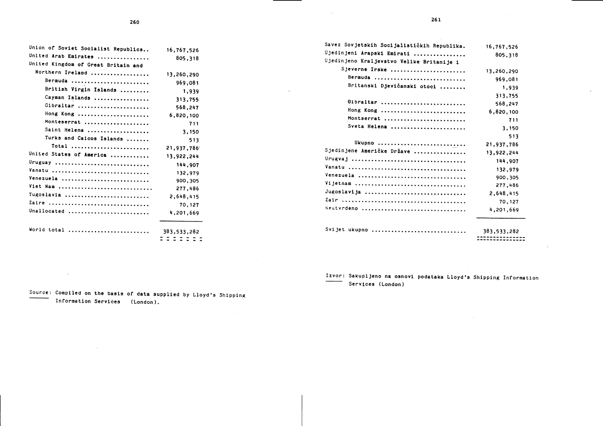| Union of Soviet Socialist Republics | 16,767,526  |
|-------------------------------------|-------------|
| United Arab Emirates                | 805,318     |
| United Kingdom of Great Britain and |             |
| Northern Ireland                    | 13,260,290  |
| Bermuda                             | 969,081     |
| British Virgin Islands              | 1,939       |
| Cayman Islands                      | 313,755     |
| Gibraltar                           | 568,247     |
| Hong Kong                           | 6,820,100   |
| Monteserrat                         | 711         |
| Saint Helena                        | 3,150       |
| Turks and Caicos Islands            | 513         |
| Total                               | 21,937,786  |
| United States of America            |             |
|                                     | 13,922,244  |
| Uruguay                             | 144,907     |
| Vanatu                              | 132,979     |
| Venezuela                           | 900,305     |
| Viet Nam                            | 277,486     |
| Yugoslavia                          | 2,648,415   |
| Zaire                               | 70,127      |
|                                     |             |
| Unallocated                         | 4,201,669   |
| World total                         | 383,533,282 |
|                                     | = = = = = = |

| Savez Sovjetskih Socijalističkih Republika. | 16,767,526  |
|---------------------------------------------|-------------|
| Ujedinjeni Arapski Emirati                  | 805,318     |
| Ujedinjeno Kraljevstvo Velike Britanije i   |             |
| Sjeverne Irske                              | 13,260,290  |
| Bermuda                                     | 969,081     |
| Britanskí Djevičanski otoci                 | 1,939       |
|                                             | 313,755     |
| Gibraltar                                   | 568,247     |
| Hong Kong                                   | 6,820,100   |
| Montserrat                                  | 711         |
| Sveta Helena                                | 3,150       |
|                                             | 513         |
| Ukupno                                      | 21,937,786  |
| Sjedinjene Američke Države                  | 13,922,244  |
|                                             | 144,907     |
|                                             | 132,979     |
| Venezuela                                   | 900,305     |
| Vijetnam                                    | 277,486     |
| Jugoslavija                                 | 2,648,415   |
|                                             | 70,127      |
| Seutvrdeno                                  | 4,201,669   |
|                                             |             |
| Svijet ukupno                               | 383,533,282 |
|                                             |             |

 $\sim 10^7$ 

Source: Compiled on the basis of data supplied by Lloyd's Shipping Information Services (London).

 $\sim 10$ 

 $\sim 10^{-1}$ 

Izvor: Sakupljeno na osnovi podataka Lloyd's Shipping Information -<br>Services (London)

 $\sim 10^{-1}$ 

 $\sim$ 

 $\mathcal{L}_{\rm{max}}$